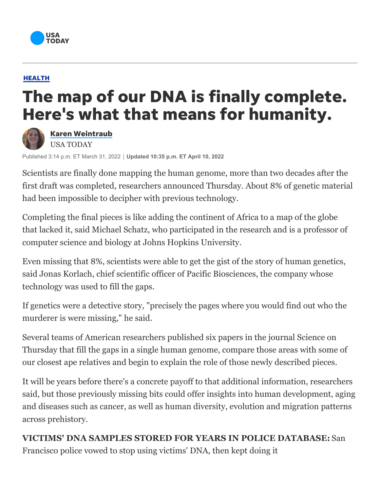

## [HEALTH](https://www.usatoday.com/news/health/)

## The map of our DNA is finally complete. Here's what that means for humanity.



[Karen Weintraub](https://www.usatoday.com/staff/5259256002/karen-weintraub/) USA TODAY

Published 3:14 p.m. ET March 31, 2022 **Updated 10:35 p.m. ET April 10, 2022**

Scientists are finally done mapping the human genome, more than two decades after the first draft was completed, researchers announced Thursday. About 8% of genetic material had been impossible to decipher with previous technology.

Completing the final pieces is like adding the continent of Africa to a map of the globe that lacked it, said Michael Schatz, who participated in the research and is a professor of computer science and biology at Johns Hopkins University.

Even missing that 8%, scientists were able to get the gist of the story of human genetics, said Jonas Korlach, chief scientific officer of Pacific Biosciences, the company whose technology was used to fill the gaps.

If genetics were a detective story, "precisely the pages where you would find out who the murderer is were missing," he said.

Several teams of American researchers published [six papers in the journal Science](https://www.science.org/doi/10.1126/science.abp8653) on Thursday that fill the gaps in a single human genome, compare those areas with some of our closest ape relatives and begin to explain the role of those newly described pieces.

It will be years before there's a concrete payoff to that additional information, researchers said, but those previously missing bits could offer insights into human development, aging and diseases such as cancer, as well as human diversity, evolution and migration patterns across prehistory.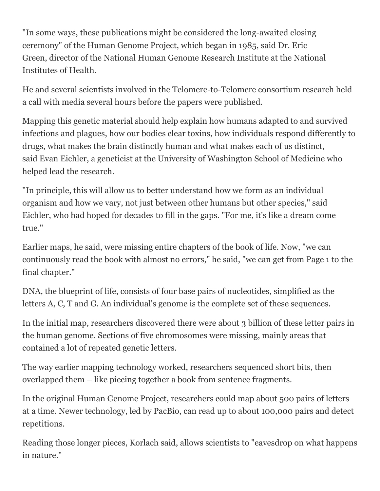"In some ways, these publications might be considered the long-awaited closing ceremony" of the Human Genome Project, which began in 1985, said Dr. Eric Green, director of the National Human Genome Research Institute at the National Institutes of Health.

He and several scientists involved in the Telomere-to-Telomere consortium research held a call with media several hours before the papers were published.

Mapping this genetic material should help explain how humans adapted to and survived infections and plagues, how our bodies clear toxins, how individuals respond differently to drugs, what makes the brain distinctly human and what makes each of us distinct, said Evan Eichler, a geneticist at the University of Washington School of Medicine who helped lead the research.

"In principle, this will allow us to better understand how we form as an individual organism and how we vary, not just between other humans but other species," said Eichler, who had hoped for decades to fill in the gaps. "For me, it's like a dream come true."

Earlier maps, he said, were missing entire chapters of the book of life. Now, "we can continuously read the book with almost no errors," he said, "we can get from Page 1 to the final chapter."

DNA, the blueprint of life, consists of four base pairs of nucleotides, simplified as the letters A, C, T and G. An individual's genome is the complete set of these sequences.

In the initial map, researchers discovered there were about 3 billion of these letter pairs in the human genome. Sections of five chromosomes were missing, mainly areas that contained a lot of repeated genetic letters.

The way earlier mapping technology worked, researchers sequenced short bits, then overlapped them – like piecing together a book from sentence fragments.

In the original Human Genome Project, researchers could map about 500 pairs of letters at a time. Newer technology, led by PacBio, can read up to about 100,000 pairs and detect repetitions.

Reading those longer pieces, Korlach said, allows scientists to "eavesdrop on what happens in nature."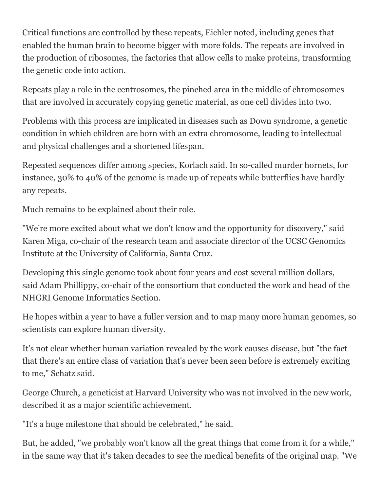Critical functions are controlled by these repeats, Eichler noted, including genes that enabled the human brain to become bigger with more folds. The repeats are involved in the production of ribosomes, the factories that allow cells to make proteins, transforming the genetic code into action.

Repeats play a role in the centrosomes, the pinched area in the middle of chromosomes that are involved in accurately copying genetic material, as one cell divides into two.

Problems with this process are implicated in diseases such as Down syndrome, a genetic condition in which children are born with an extra chromosome, leading to intellectual and physical challenges and a shortened lifespan.

Repeated sequences differ among species, Korlach said. In so-called murder hornets, for instance, 30% to 40% of the genome is made up of repeats while butterflies have hardly any repeats.

Much remains to be explained about their role.

"We're more excited about what we don't know and the opportunity for discovery," said Karen Miga, co-chair of the research team and associate director of the UCSC Genomics Institute at the University of California, Santa Cruz.

Developing this single genome took about four years and cost several million dollars, said Adam Phillippy, co-chair of the consortium that conducted the work and head of the NHGRI Genome Informatics Section.

He hopes within a year to have a fuller version and to map many more human genomes, so scientists can explore human diversity.

It's not clear whether human variation revealed by the work causes disease, but "the fact that there's an entire class of variation that's never been seen before is extremely exciting to me," Schatz said.

George Church, a geneticist at Harvard University who was not involved in the new work, described it as a major scientific achievement.

"It's a huge milestone that should be celebrated," he said.

But, he added, "we probably won't know all the great things that come from it for a while," in the same way that it's taken decades to see the medical benefits of the original map. "We